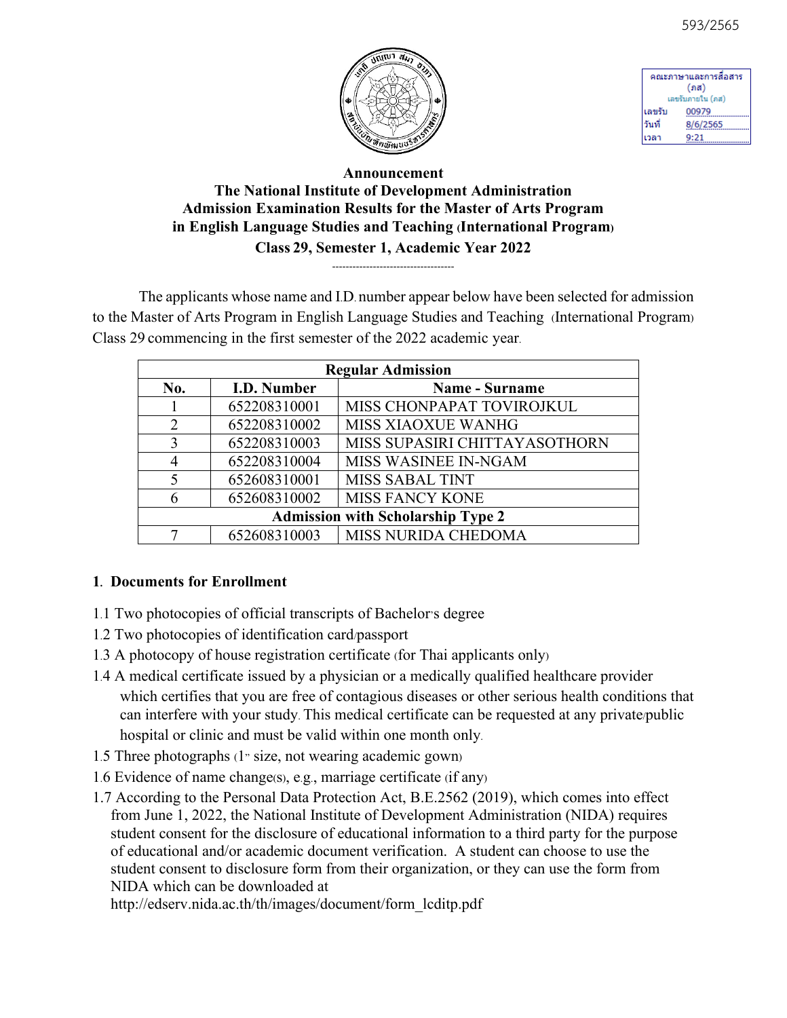



| คณะภาษาและการสื่อสาร |          |  |
|----------------------|----------|--|
| (ภส)                 |          |  |
| เลขรับภายใน (ภส)     |          |  |
| ้เลขรับ              | 00979    |  |
| ้วันที่              | 8/6/2565 |  |
| เวลา                 | 9:21     |  |

## **Announcement The National Institute of Development Administration Admission Examination Results for the Master of Arts Program in English Language Studies and Teaching (International Program) Class 29, Semester 1, Academic Year 2022**

 $-$ 

The applicants whose name and I.D. number appear below have been selected for admission to the Master of Arts Program in English Language Studies and Teaching (International Program) Class 29 commencing in the first semester of the 2022 academic year.

| <b>Regular Admission</b>                 |              |                               |  |
|------------------------------------------|--------------|-------------------------------|--|
| No.                                      | I.D. Number  | <b>Name - Surname</b>         |  |
|                                          | 652208310001 | MISS CHONPAPAT TOVIROJKUL     |  |
| 2                                        | 652208310002 | <b>MISS XIAOXUE WANHG</b>     |  |
| 3                                        | 652208310003 | MISS SUPASIRI CHITTAYASOTHORN |  |
| 4                                        | 652208310004 | <b>MISS WASINEE IN-NGAM</b>   |  |
| 5                                        | 652608310001 | <b>MISS SABAL TINT</b>        |  |
| 6                                        | 652608310002 | MISS FANCY KONE               |  |
| <b>Admission with Scholarship Type 2</b> |              |                               |  |
|                                          | 652608310003 | MISS NURIDA CHEDOMA           |  |

## **1. Documents for Enrollment**

- 1.1 Two photocopies of official transcripts of Bachelor's degree
- 1.2 Two photocopies of identification card/passport
- 1.3 A photocopy of house registration certificate (for Thai applicants only)
- 1.4 A medical certificate issued by a physician or a medically qualified healthcare provider which certifies that you are free of contagious diseases or other serious health conditions that can interfere with your study. This medical certificate can be requested at any private/public hospital or clinic and must be valid within one month only.
- 1.5 Three photographs (1" size, not wearing academic gown)
- 1.6 Evidence of name change(s), e.g., marriage certificate (if any)
- 1.7 According to the Personal Data Protection Act, B.E.2562 (2019), which comes into effect from June 1, 2022, the National Institute of Development Administration (NIDA) requires student consent for the disclosure of educational information to a third party for the purpose of educational and/or academic document verification. A student can choose to use the student consent to disclosure form from their organization, or they can use the form from NIDA which can be downloaded at

http://edserv.nida.ac.th/th/images/document/form\_lcditp.pdf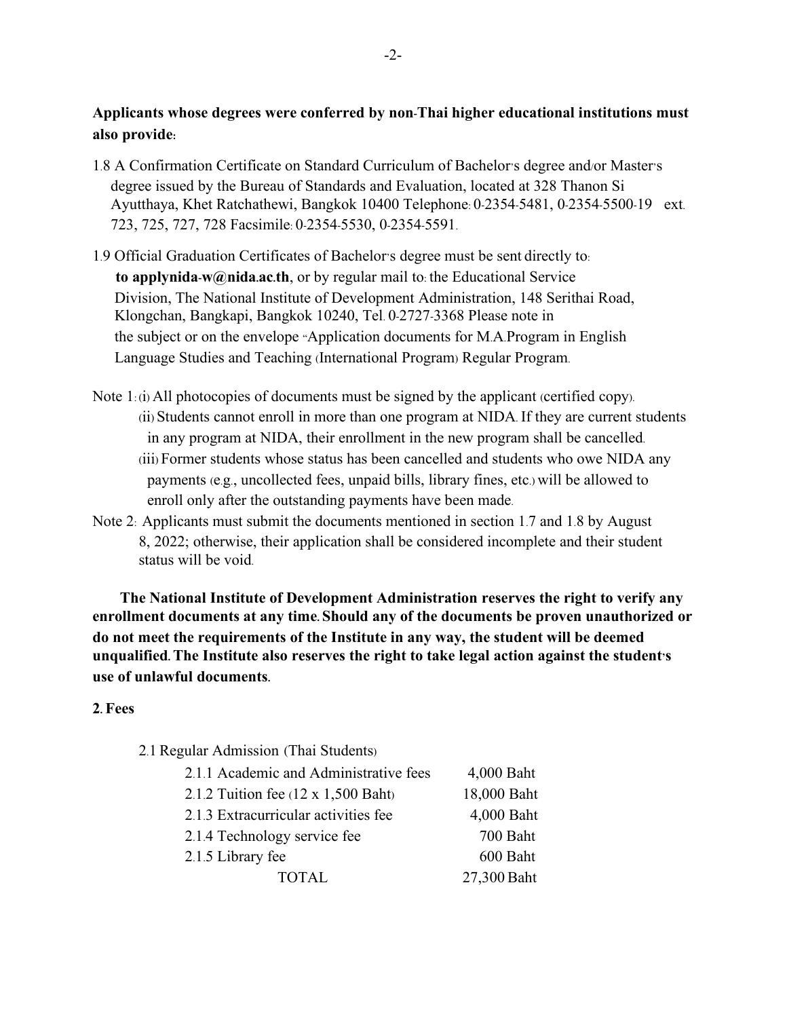## **Applicants whose degrees were conferred by non-Thai higher educational institutions must also provide:**

- 1.8 A Confirmation Certificate on Standard Curriculum of Bachelor's degree and/or Master's degree issued by the Bureau of Standards and Evaluation, located at 328 Thanon Si Ayutthaya, Khet Ratchathewi, Bangkok 10400 Telephone: 0-2354-5481, 0-2354-5500-19 ext. 723, 725, 727, 728 Facsimile: 0-2354-5530, 0-2354-5591.
- 1.9 Official Graduation Certificates of Bachelor's degree must be sent directly to: **to applynida-w@nida.ac.th**, or by regular mail to: the Educational Service Division, The National Institute of Development Administration, 148 Serithai Road, Klongchan, Bangkapi, Bangkok 10240, Tel. 0-2727-3368 Please note in the subject or on the envelope "Application documents for M.A.Program in English Language Studies and Teaching (International Program) Regular Program.
- Note 1: (i) All photocopies of documents must be signed by the applicant (certified copy). (ii) Students cannot enroll in more than one program at NIDA. If they are current students in any program at NIDA, their enrollment in the new program shall be cancelled. (iii) Former students whose status has been cancelled and students who owe NIDA any payments (e.g., uncollected fees, unpaid bills, library fines, etc.) will be allowed to enroll only after the outstanding payments have been made.
- Note 2: Applicants must submit the documents mentioned in section 1.7 and 1.8 by August 8, 2022; otherwise, their application shall be considered incomplete and their student status will be void.

**The National Institute of Development Administration reserves the right to verify any enrollment documents at any time. Should any of the documents be proven unauthorized or do not meet the requirements of the Institute in any way, the student will be deemed unqualified. The Institute also reserves the right to take legal action against the student's use of unlawful documents.** 

#### **2. Fees**

2.1 Regular Admission (Thai Students)

| 2.1.1 Academic and Administrative fees     | 4,000 Baht  |
|--------------------------------------------|-------------|
| 2.1.2 Tuition fee $(12 \times 1,500$ Baht) | 18,000 Baht |
| 2.1.3 Extracurricular activities fee       | 4,000 Baht  |
| 2.1.4 Technology service fee               | 700 Baht    |
| 2.1.5 Library fee                          | 600 Baht    |
| <b>TOTAL</b>                               | 27,300 Baht |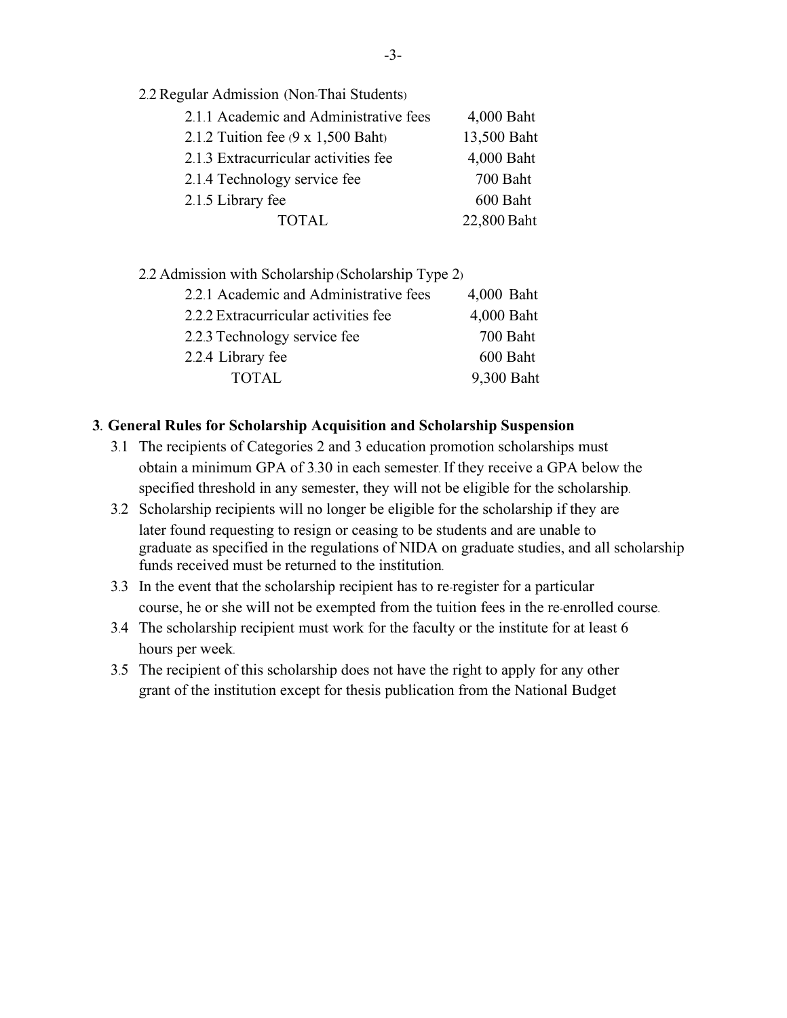.2 Regular Admission (Non-Thai Students)

| 2.1.1 Academic and Administrative fees   | 4,000 Baht  |
|------------------------------------------|-------------|
| 2.1.2 Tuition fee $(9 \times 1,500$ Baht | 13,500 Baht |
| 2.1.3 Extracurricular activities fee     | 4,000 Baht  |
| 2.1.4 Technology service fee             | 700 Baht    |
| 2.1.5 Library fee                        | 600 Baht    |
| <b>TOTAL</b>                             | 22,800 Baht |

.2 Admission with Scholarship (Scholarship Type 2)

| 2.2.1 Academic and Administrative fees | 4,000 Baht |
|----------------------------------------|------------|
| 2.2.2 Extracurricular activities fee   | 4,000 Baht |
| 2.2.3 Technology service fee           | 700 Baht   |
| 2.2.4 Library fee                      | 600 Baht   |
| <b>TOTAL</b>                           | 9,300 Baht |

#### **. General Rules for Scholarship Acquisition and Scholarship Suspension**

- .1 The recipients of Categories 2 and 3 education promotion scholarships must obtain a minimum GPA of 3.30 in each semester. If they receive a GPA below the specified threshold in any semester, they will not be eligible for the scholarship.
- .2 Scholarship recipients will no longer be eligible for the scholarship if they are later found requesting to resign or ceasing to be students and are unable to graduate as specified in the regulations of NIDA on graduate studies, and all scholarship funds received must be returned to the institution.
- .3 In the event that the scholarship recipient has to re-register for a particular course, he or she will not be exempted from the tuition fees in the re-enrolled course.
- .4 The scholarship recipient must work for the faculty or the institute for at least 6 hours per week.
- .5 The recipient of this scholarship does not have the right to apply for any other grant of the institution except for thesis publication from the National Budget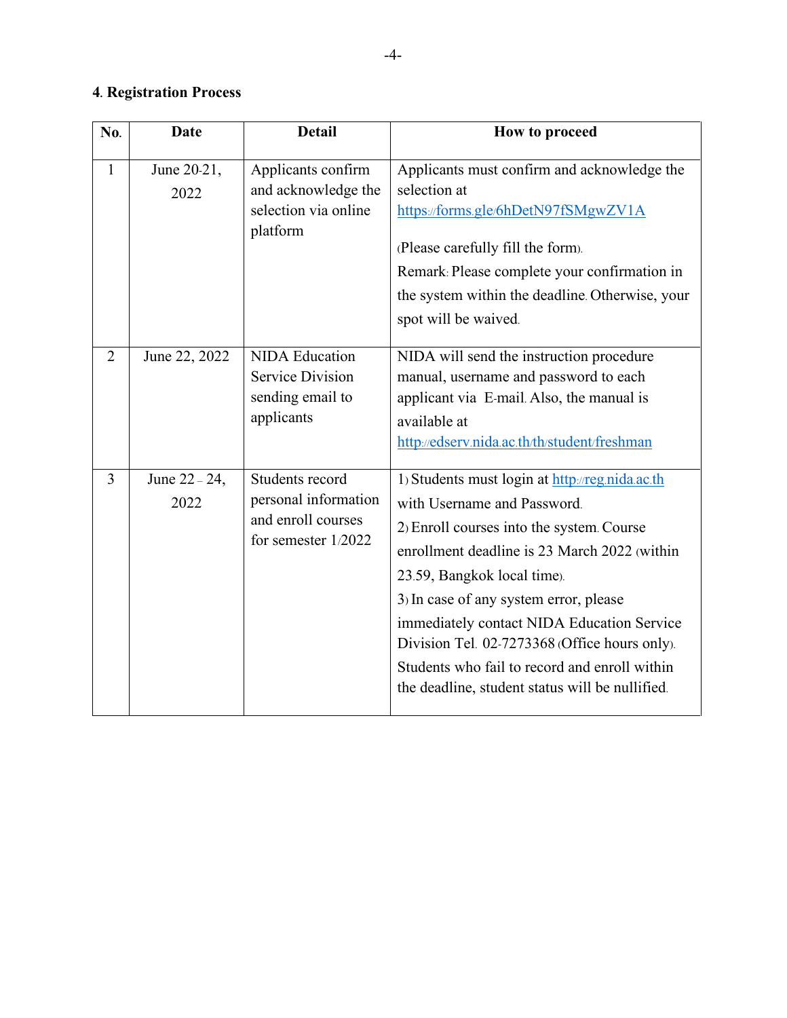# **4. Registration Process**

| No.            | Date                  | <b>Detail</b>                                                                          | How to proceed                                                                                                                                                                                                                                                                                                                                                                                                                                          |
|----------------|-----------------------|----------------------------------------------------------------------------------------|---------------------------------------------------------------------------------------------------------------------------------------------------------------------------------------------------------------------------------------------------------------------------------------------------------------------------------------------------------------------------------------------------------------------------------------------------------|
| $\mathbf{1}$   | June 20-21,<br>2022   | Applicants confirm<br>and acknowledge the<br>selection via online<br>platform          | Applicants must confirm and acknowledge the<br>selection at<br>https://forms.gle/6hDetN97fSMgwZV1A<br>(Please carefully fill the form).<br>Remark: Please complete your confirmation in<br>the system within the deadline. Otherwise, your<br>spot will be waived.                                                                                                                                                                                      |
| $\overline{2}$ | June 22, 2022         | <b>NIDA</b> Education<br><b>Service Division</b><br>sending email to<br>applicants     | NIDA will send the instruction procedure<br>manual, username and password to each<br>applicant via E-mail Also, the manual is<br>available at<br>http://edserv.nida.ac.th/th/student/freshman                                                                                                                                                                                                                                                           |
| 3              | June 22 - 24,<br>2022 | Students record<br>personal information<br>and enroll courses<br>for semester $1/2022$ | 1) Students must login at http://reg.nida.ac.th<br>with Username and Password.<br>2) Enroll courses into the system. Course<br>enrollment deadline is 23 March 2022 (within<br>23.59, Bangkok local time).<br>3) In case of any system error, please<br>immediately contact NIDA Education Service<br>Division Tel. 02-7273368 (Office hours only).<br>Students who fail to record and enroll within<br>the deadline, student status will be nullified. |